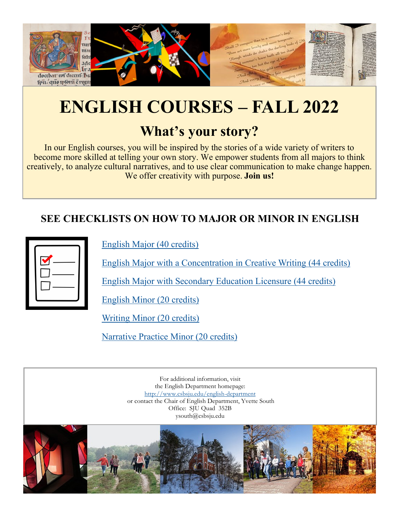

# **ENGLISH COURSES – FALL 2022**

# **What's your story?**

In our English courses, you will be inspired by the stories of a wide variety of writers to become more skilled at telling your own story. We empower students from all majors to think creatively, to analyze cultural narratives, and to use clear communication to make change happen. We offer creativity with purpose. **Join us!**

## **SEE CHECKLISTS ON HOW TO MAJOR OR MINOR IN ENGLISH**

[English Major \(40 credits\)](https://www.csbsju.edu/documents/English/pdf/English%20Major.pdf)

[English Major with a Concentration in Creative Writing \(44 credits\)](https://www.csbsju.edu/documents/English/pdf/English%20Major%20with%20a%20Concentration%20in%20Creative%20Writing.pdf)

[English Major with Secondary Education Licensure \(44 credits\)](https://www.csbsju.edu/documents/English/Communication%20Arts%20and%20Literature%20Education%20%28March%202022%29.pdf)

[English Minor \(20 credits\)](https://www.csbsju.edu/documents/English/Advising%20Worksheet%20for%20English%20Minor.pdf)

[Writing Minor \(20 credits\)](https://www.csbsju.edu/documents/English/pdf/Writing%20Minor.pdf)

[Narrative Practice Minor \(20 credits\)](https://www.csbsju.edu/documents/English/Narrative%20Practice%20Minor%20Requirements.pdf)

For additional information, visit the English Department homepage: <http://www.csbsju.edu/english-department> or contact the Chair of English Department, Yvette South Office: SJU Quad 352B ysouth@csbsju.edu

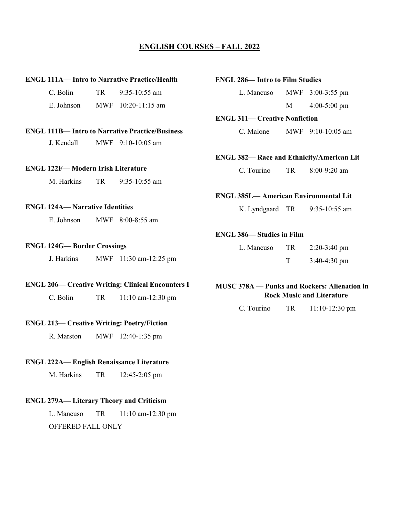#### **ENGLISH COURSES – FALL 2022**

#### **ENGL 111A— Intro to Narrative Practice/Health**

| C. Bolin   | TR. | $9:35-10:55$ am      |
|------------|-----|----------------------|
| E. Johnson |     | MWF $10:20-11:15$ am |

#### **ENGL 111B— Intro to Narrative Practice/Business**

J. Kendall MWF 9:10-10:05 am

#### **ENGL 122F— Modern Irish Literature**

M. Harkins TR 9:35-10:55 am

#### **ENGL 124A— Narrative Identities**

E. Johnson MWF 8:00-8:55 am

#### **ENGL 124G— Border Crossings**

J. Harkins MWF 11:30 am-12:25 pm

#### **ENGL 206— Creative Writing: Clinical Encounters I**

C. Bolin TR 11:10 am-12:30 pm

#### **ENGL 213— Creative Writing: Poetry/Fiction**

R. Marston MWF 12:40-1:35 pm

#### **ENGL 222A— English Renaissance Literature**

M. Harkins TR 12:45-2:05 pm

#### **ENGL 279A— Literary Theory and Criticism**

L. Mancuso TR 11:10 am-12:30 pm OFFERED FALL ONLY

#### E**NGL 286— Intro to Film Studies**

L. Mancuso MWF 3:00-3:55 pm M 4:00-5:00 pm

#### **ENGL 311— Creative Nonfiction**

C. Malone MWF 9:10-10:05 am

#### **ENGL 382— Race and Ethnicity/American Lit**

C. Tourino TR 8:00-9:20 am

#### **ENGL 385L— American Environmental Lit**

K. Lyndgaard TR 9:35-10:55 am

#### **ENGL 386— Studies in Film**

| L. Mancuso | TR. | $2:20-3:40$ pm |
|------------|-----|----------------|
|            |     | $3:40-4:30$ pm |

#### **MUSC 378A — Punks and Rockers: Alienation in Rock Music and Literature**

C. Tourino TR 11:10-12:30 pm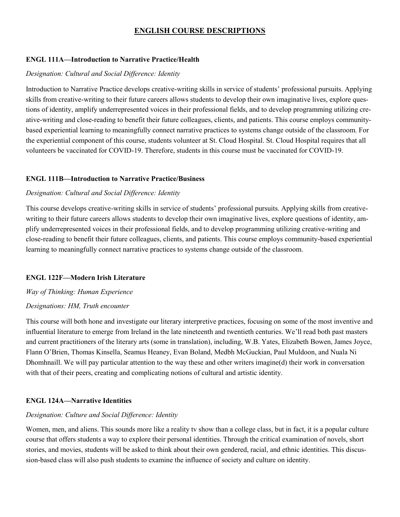#### **ENGL 111A—Introduction to Narrative Practice/Health**

#### *Designation: Cultural and Social Difference: Identity*

Introduction to Narrative Practice develops creative-writing skills in service of students' professional pursuits. Applying skills from creative-writing to their future careers allows students to develop their own imaginative lives, explore questions of identity, amplify underrepresented voices in their professional fields, and to develop programming utilizing creative-writing and close-reading to benefit their future colleagues, clients, and patients. This course employs communitybased experiential learning to meaningfully connect narrative practices to systems change outside of the classroom. For the experiential component of this course, students volunteer at St. Cloud Hospital. St. Cloud Hospital requires that all volunteers be vaccinated for COVID-19. Therefore, students in this course must be vaccinated for COVID-19.

#### **ENGL 111B—Introduction to Narrative Practice/Business**

#### *Designation: Cultural and Social Difference: Identity*

This course develops creative-writing skills in service of students' professional pursuits. Applying skills from creativewriting to their future careers allows students to develop their own imaginative lives, explore questions of identity, amplify underrepresented voices in their professional fields, and to develop programming utilizing creative-writing and close-reading to benefit their future colleagues, clients, and patients. This course employs community-based experiential learning to meaningfully connect narrative practices to systems change outside of the classroom.

#### **ENGL 122F—Modern Irish Literature**

#### *Way of Thinking: Human Experience*

#### *Designations: HM, Truth encounter*

This course will both hone and investigate our literary interpretive practices, focusing on some of the most inventive and influential literature to emerge from Ireland in the late nineteenth and twentieth centuries. We'll read both past masters and current practitioners of the literary arts (some in translation), including, W.B. Yates, Elizabeth Bowen, James Joyce, Flann O'Brien, Thomas Kinsella, Seamus Heaney, Evan Boland, Medbh McGuckian, Paul Muldoon, and Nuala Ni Dhomhnaill. We will pay particular attention to the way these and other writers imagine(d) their work in conversation with that of their peers, creating and complicating notions of cultural and artistic identity.

#### **ENGL 124A—Narrative Identities**

#### *Designation: Culture and Social Difference: Identity*

Women, men, and aliens. This sounds more like a reality tv show than a college class, but in fact, it is a popular culture course that offers students a way to explore their personal identities. Through the critical examination of novels, short stories, and movies, students will be asked to think about their own gendered, racial, and ethnic identities. This discussion-based class will also push students to examine the influence of society and culture on identity.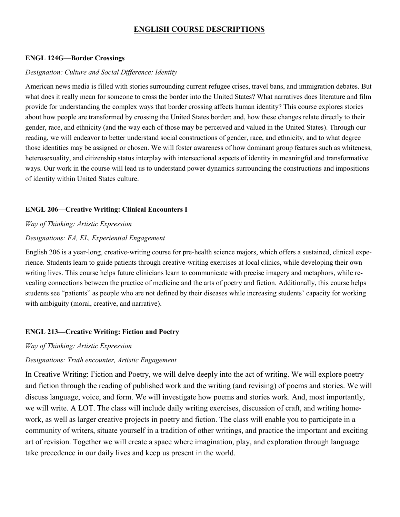#### **ENGL 124G—Border Crossings**

#### *Designation: Culture and Social Difference: Identity*

American news media is filled with stories surrounding current refugee crises, travel bans, and immigration debates. But what does it really mean for someone to cross the border into the United States? What narratives does literature and film provide for understanding the complex ways that border crossing affects human identity? This course explores stories about how people are transformed by crossing the United States border; and, how these changes relate directly to their gender, race, and ethnicity (and the way each of those may be perceived and valued in the United States). Through our reading, we will endeavor to better understand social constructions of gender, race, and ethnicity, and to what degree those identities may be assigned or chosen. We will foster awareness of how dominant group features such as whiteness, heterosexuality, and citizenship status interplay with intersectional aspects of identity in meaningful and transformative ways. Our work in the course will lead us to understand power dynamics surrounding the constructions and impositions of identity within United States culture.

#### **ENGL 206—Creative Writing: Clinical Encounters I**

#### *Way of Thinking: Artistic Expression*

#### *Designations: FA, EL, Experiential Engagement*

English 206 is a year-long, creative-writing course for pre-health science majors, which offers a sustained, clinical experience. Students learn to guide patients through creative-writing exercises at local clinics, while developing their own writing lives. This course helps future clinicians learn to communicate with precise imagery and metaphors, while revealing connections between the practice of medicine and the arts of poetry and fiction. Additionally, this course helps students see "patients" as people who are not defined by their diseases while increasing students' capacity for working with ambiguity (moral, creative, and narrative).

#### **ENGL 213—Creative Writing: Fiction and Poetry**

#### *Way of Thinking: Artistic Expression*

#### *Designations: Truth encounter, Artistic Engagement*

In Creative Writing: Fiction and Poetry, we will delve deeply into the act of writing. We will explore poetry and fiction through the reading of published work and the writing (and revising) of poems and stories. We will discuss language, voice, and form. We will investigate how poems and stories work. And, most importantly, we will write. A LOT. The class will include daily writing exercises, discussion of craft, and writing homework, as well as larger creative projects in poetry and fiction. The class will enable you to participate in a community of writers, situate yourself in a tradition of other writings, and practice the important and exciting art of revision. Together we will create a space where imagination, play, and exploration through language take precedence in our daily lives and keep us present in the world.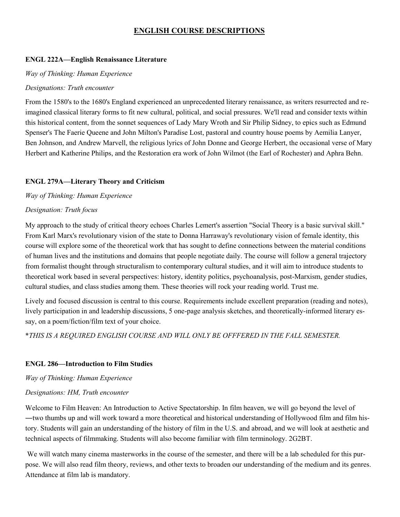#### **ENGL 222A—English Renaissance Literature**

#### *Way of Thinking: Human Experience*

#### *Designations: Truth encounter*

From the 1580's to the 1680's England experienced an unprecedented literary renaissance, as writers resurrected and reimagined classical literary forms to fit new cultural, political, and social pressures. We'll read and consider texts within this historical content, from the sonnet sequences of Lady Mary Wroth and Sir Philip Sidney, to epics such as Edmund Spenser's The Faerie Queene and John Milton's Paradise Lost, pastoral and country house poems by Aemilia Lanyer, Ben Johnson, and Andrew Marvell, the religious lyrics of John Donne and George Herbert, the occasional verse of Mary Herbert and Katherine Philips, and the Restoration era work of John Wilmot (the Earl of Rochester) and Aphra Behn.

#### **ENGL 279A—Literary Theory and Criticism**

*Way of Thinking: Human Experience*

#### *Designation: Truth focus*

My approach to the study of critical theory echoes Charles Lemert's assertion "Social Theory is a basic survival skill." From Karl Marx's revolutionary vision of the state to Donna Harraway's revolutionary vision of female identity, this course will explore some of the theoretical work that has sought to define connections between the material conditions of human lives and the institutions and domains that people negotiate daily. The course will follow a general trajectory from formalist thought through structuralism to contemporary cultural studies, and it will aim to introduce students to theoretical work based in several perspectives: history, identity politics, psychoanalysis, post-Marxism, gender studies, cultural studies, and class studies among them. These theories will rock your reading world. Trust me.

Lively and focused discussion is central to this course. Requirements include excellent preparation (reading and notes), lively participation in and leadership discussions, 5 one-page analysis sketches, and theoretically-informed literary essay, on a poem/fiction/film text of your choice. 

\**THIS IS A REQUIRED ENGLISH COURSE AND WILL ONLY BE OFFFERED IN THE FALL SEMESTER.*

#### **ENGL 286—Introduction to Film Studies**

*Way of Thinking: Human Experience*

#### *Designations: HM, Truth encounter*

Welcome to Film Heaven: An Introduction to Active Spectatorship. In film heaven, we will go beyond the level of ―two thumbs up and will work toward a more theoretical and historical understanding of Hollywood film and film history. Students will gain an understanding of the history of film in the U.S. and abroad, and we will look at aesthetic and technical aspects of filmmaking. Students will also become familiar with film terminology. 2G2BT.

We will watch many cinema masterworks in the course of the semester, and there will be a lab scheduled for this purpose. We will also read film theory, reviews, and other texts to broaden our understanding of the medium and its genres. Attendance at film lab is mandatory.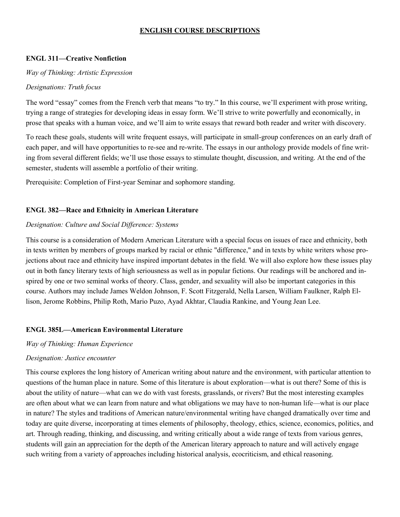#### **ENGL 311—Creative Nonfiction**

#### *Way of Thinking: Artistic Expression*

#### *Designations: Truth focus*

The word "essay" comes from the French verb that means "to try." In this course, we'll experiment with prose writing, trying a range of strategies for developing ideas in essay form. We'll strive to write powerfully and economically, in prose that speaks with a human voice, and we'll aim to write essays that reward both reader and writer with discovery.

To reach these goals, students will write frequent essays, will participate in small-group conferences on an early draft of each paper, and will have opportunities to re-see and re-write. The essays in our anthology provide models of fine writing from several different fields; we'll use those essays to stimulate thought, discussion, and writing. At the end of the semester, students will assemble a portfolio of their writing.

Prerequisite: Completion of First-year Seminar and sophomore standing.

#### **ENGL 382—Race and Ethnicity in American Literature**

#### *Designation: Culture and Social Difference: Systems*

This course is a consideration of Modern American Literature with a special focus on issues of race and ethnicity, both in texts written by members of groups marked by racial or ethnic "difference," and in texts by white writers whose projections about race and ethnicity have inspired important debates in the field. We will also explore how these issues play out in both fancy literary texts of high seriousness as well as in popular fictions. Our readings will be anchored and inspired by one or two seminal works of theory. Class, gender, and sexuality will also be important categories in this course. Authors may include James Weldon Johnson, F. Scott Fitzgerald, Nella Larsen, William Faulkner, Ralph Ellison, Jerome Robbins, Philip Roth, Mario Puzo, Ayad Akhtar, Claudia Rankine, and Young Jean Lee.

#### **ENGL 385L—American Environmental Literature**

#### *Way of Thinking: Human Experience*

#### *Designation: Justice encounter*

This course explores the long history of American writing about nature and the environment, with particular attention to questions of the human place in nature. Some of this literature is about exploration—what is out there? Some of this is about the utility of nature—what can we do with vast forests, grasslands, or rivers? But the most interesting examples are often about what we can learn from nature and what obligations we may have to non-human life—what is our place in nature? The styles and traditions of American nature/environmental writing have changed dramatically over time and today are quite diverse, incorporating at times elements of philosophy, theology, ethics, science, economics, politics, and art. Through reading, thinking, and discussing, and writing critically about a wide range of texts from various genres, students will gain an appreciation for the depth of the American literary approach to nature and will actively engage such writing from a variety of approaches including historical analysis, ecocriticism, and ethical reasoning.